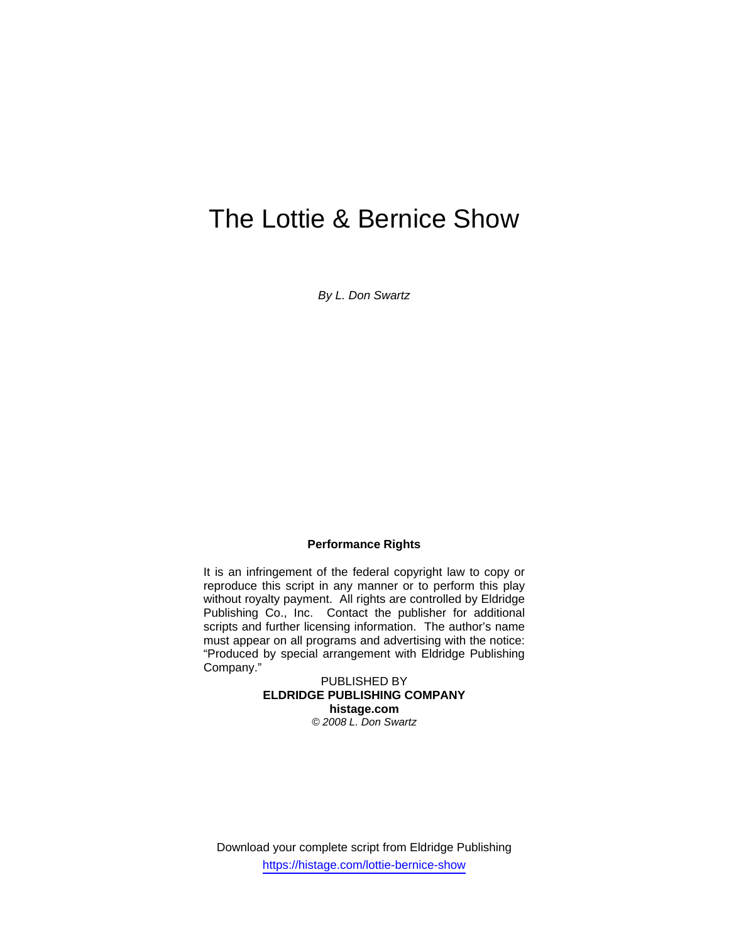# The Lottie & Bernice Show

*By L. Don Swartz* 

#### **Performance Rights**

It is an infringement of the federal copyright law to copy or reproduce this script in any manner or to perform this play without royalty payment. All rights are controlled by Eldridge Publishing Co., Inc. Contact the publisher for additional scripts and further licensing information. The author's name must appear on all programs and advertising with the notice: "Produced by special arrangement with Eldridge Publishing Company."

> PUBLISHED BY **ELDRIDGE PUBLISHING COMPANY histage.com**  *© 2008 L. Don Swartz*

Download your complete script from Eldridge Publishing https://histage.com/lottie-bernice-show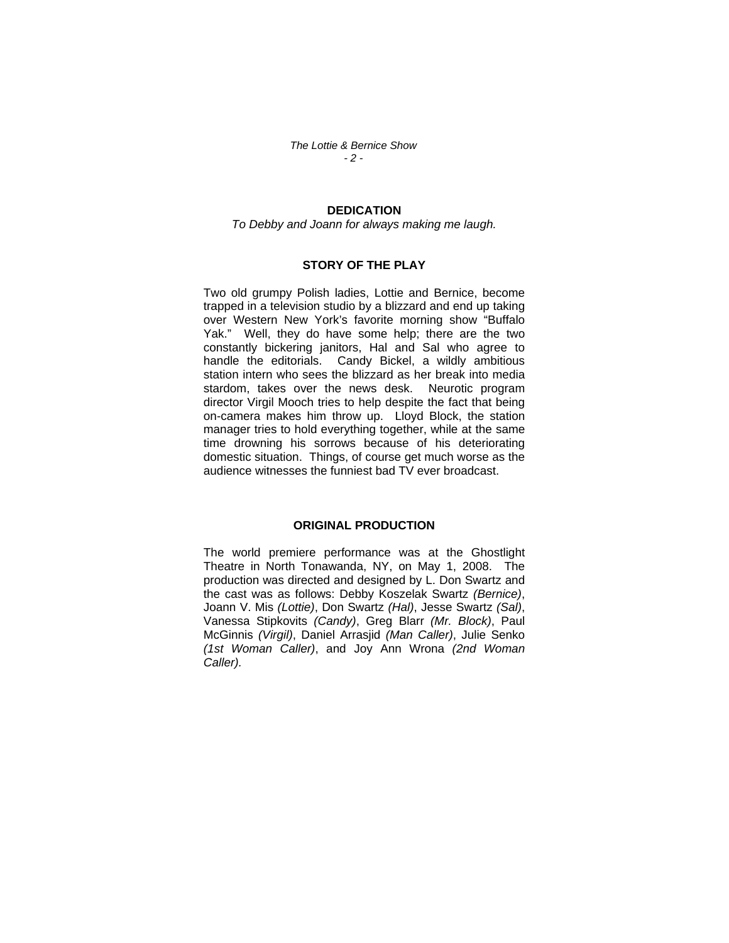*The Lottie & Bernice Show - 2 -* 

### **DEDICATION**

*To Debby and Joann for always making me laugh.* 

#### **STORY OF THE PLAY**

Two old grumpy Polish ladies, Lottie and Bernice, become trapped in a television studio by a blizzard and end up taking over Western New York's favorite morning show "Buffalo Yak." Well, they do have some help; there are the two constantly bickering janitors, Hal and Sal who agree to handle the editorials. Candy Bickel, a wildly ambitious station intern who sees the blizzard as her break into media stardom, takes over the news desk. Neurotic program director Virgil Mooch tries to help despite the fact that being on-camera makes him throw up. Lloyd Block, the station manager tries to hold everything together, while at the same time drowning his sorrows because of his deteriorating domestic situation. Things, of course get much worse as the audience witnesses the funniest bad TV ever broadcast.

#### **ORIGINAL PRODUCTION**

The world premiere performance was at the Ghostlight Theatre in North Tonawanda, NY, on May 1, 2008. The production was directed and designed by L. Don Swartz and the cast was as follows: Debby Koszelak Swartz *(Bernice)*, Joann V. Mis *(Lottie)*, Don Swartz *(Hal)*, Jesse Swartz *(Sal)*, Vanessa Stipkovits *(Candy)*, Greg Blarr *(Mr. Block)*, Paul McGinnis *(Virgil)*, Daniel Arrasjid *(Man Caller)*, Julie Senko *(1st Woman Caller)*, and Joy Ann Wrona *(2nd Woman Caller).*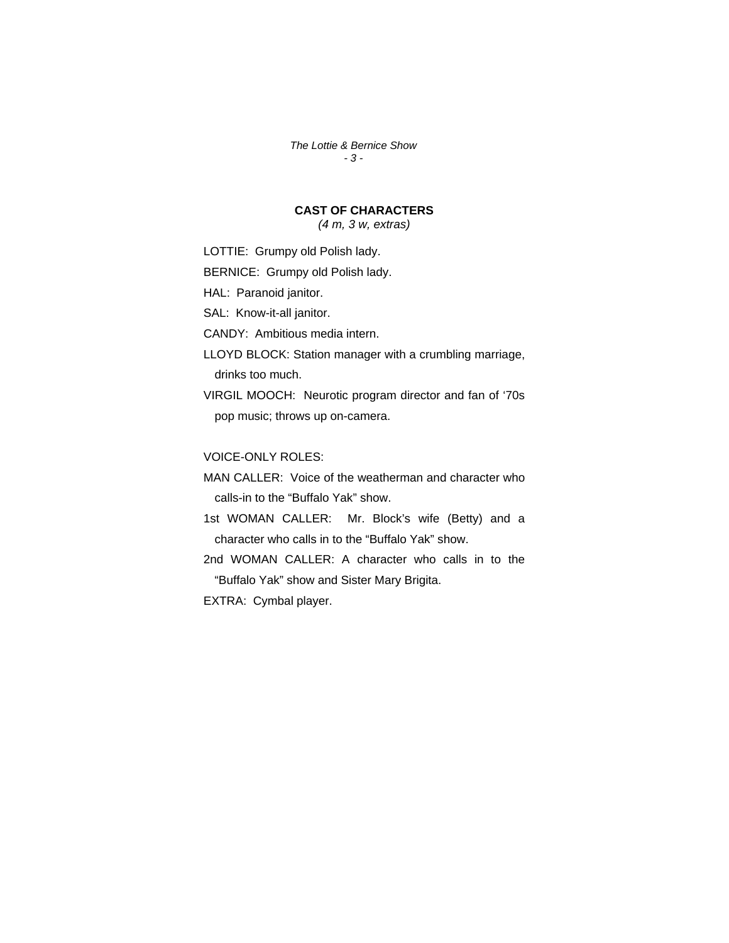*The Lottie & Bernice Show - 3 -* 

# **CAST OF CHARACTERS**

*(4 m, 3 w, extras)* 

LOTTIE: Grumpy old Polish lady.

BERNICE: Grumpy old Polish lady.

HAL: Paranoid janitor.

SAL: Know-it-all janitor.

CANDY: Ambitious media intern.

LLOYD BLOCK: Station manager with a crumbling marriage, drinks too much.

VIRGIL MOOCH: Neurotic program director and fan of '70s pop music; throws up on-camera.

VOICE-ONLY ROLES:

MAN CALLER: Voice of the weatherman and character who calls-in to the "Buffalo Yak" show.

1st WOMAN CALLER: Mr. Block's wife (Betty) and a character who calls in to the "Buffalo Yak" show.

2nd WOMAN CALLER: A character who calls in to the "Buffalo Yak" show and Sister Mary Brigita.

EXTRA: Cymbal player.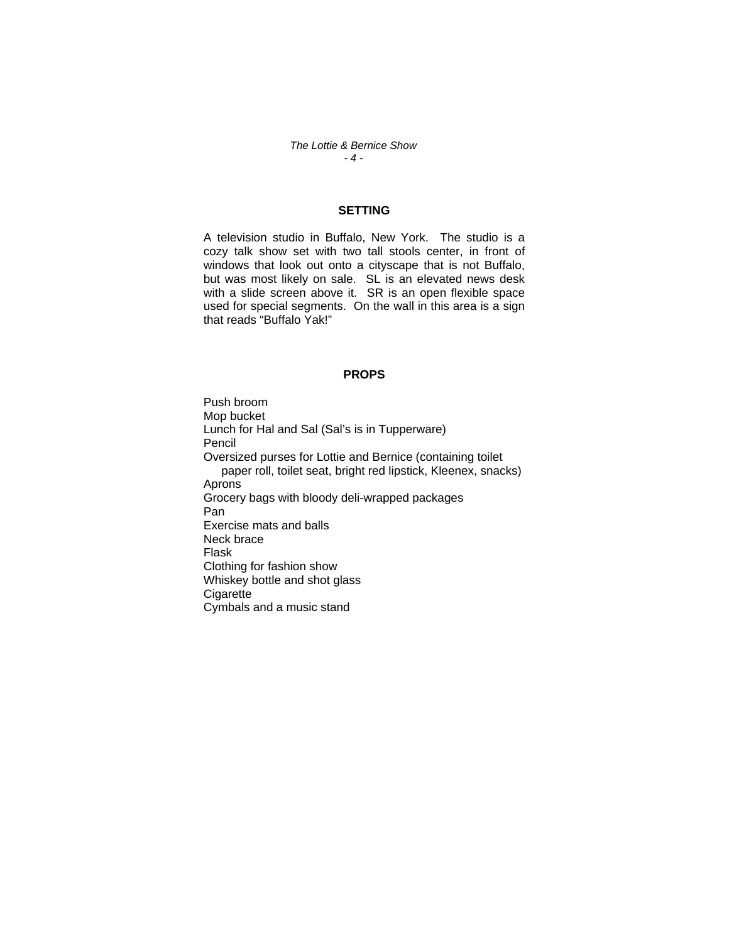*The Lottie & Bernice Show - 4 -* 

### **SETTING**

A television studio in Buffalo, New York. The studio is a cozy talk show set with two tall stools center, in front of windows that look out onto a cityscape that is not Buffalo, but was most likely on sale. SL is an elevated news desk with a slide screen above it. SR is an open flexible space used for special segments. On the wall in this area is a sign that reads "Buffalo Yak!"

#### **PROPS**

Push broom Mop bucket Lunch for Hal and Sal (Sal's is in Tupperware) Pencil Oversized purses for Lottie and Bernice (containing toilet paper roll, toilet seat, bright red lipstick, Kleenex, snacks) Aprons Grocery bags with bloody deli-wrapped packages Pan Exercise mats and balls Neck brace Flask Clothing for fashion show Whiskey bottle and shot glass **Cigarette** Cymbals and a music stand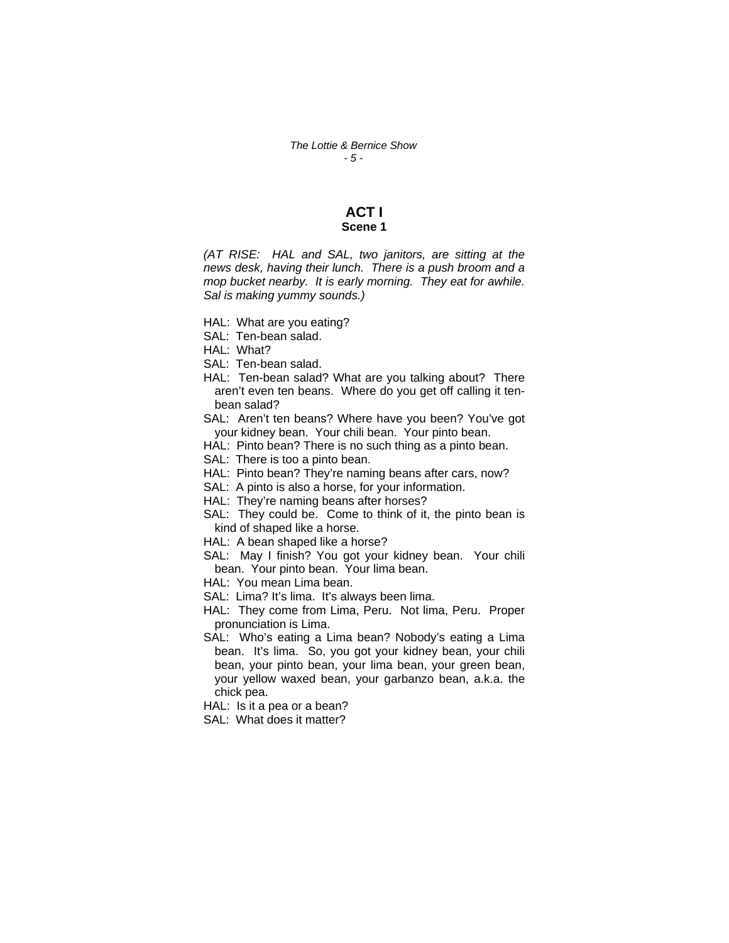# **ACT I**

## **Scene 1**

*(AT RISE: HAL and SAL, two janitors, are sitting at the news desk, having their lunch. There is a push broom and a mop bucket nearby. It is early morning. They eat for awhile. Sal is making yummy sounds.)* 

- HAL: What are you eating?
- SAL: Ten-bean salad.
- HAL: What?
- SAL: Ten-bean salad.
- HAL: Ten-bean salad? What are you talking about? There aren't even ten beans. Where do you get off calling it tenbean salad?
- SAL: Aren't ten beans? Where have you been? You've got your kidney bean. Your chili bean. Your pinto bean.
- HAL: Pinto bean? There is no such thing as a pinto bean.
- SAL: There is too a pinto bean.
- HAL: Pinto bean? They're naming beans after cars, now?
- SAL: A pinto is also a horse, for your information.
- HAL: They're naming beans after horses?
- SAL: They could be. Come to think of it, the pinto bean is kind of shaped like a horse.
- HAL: A bean shaped like a horse?
- SAL: May I finish? You got your kidney bean. Your chili bean. Your pinto bean. Your lima bean.
- HAL: You mean Lima bean.
- SAL: Lima? It's lima. It's always been lima.
- HAL: They come from Lima, Peru. Not lima, Peru. Proper pronunciation is Lima.
- SAL: Who's eating a Lima bean? Nobody's eating a Lima bean. It's lima. So, you got your kidney bean, your chili bean, your pinto bean, your lima bean, your green bean, your yellow waxed bean, your garbanzo bean, a.k.a. the chick pea.
- HAL: Is it a pea or a bean?
- SAL: What does it matter?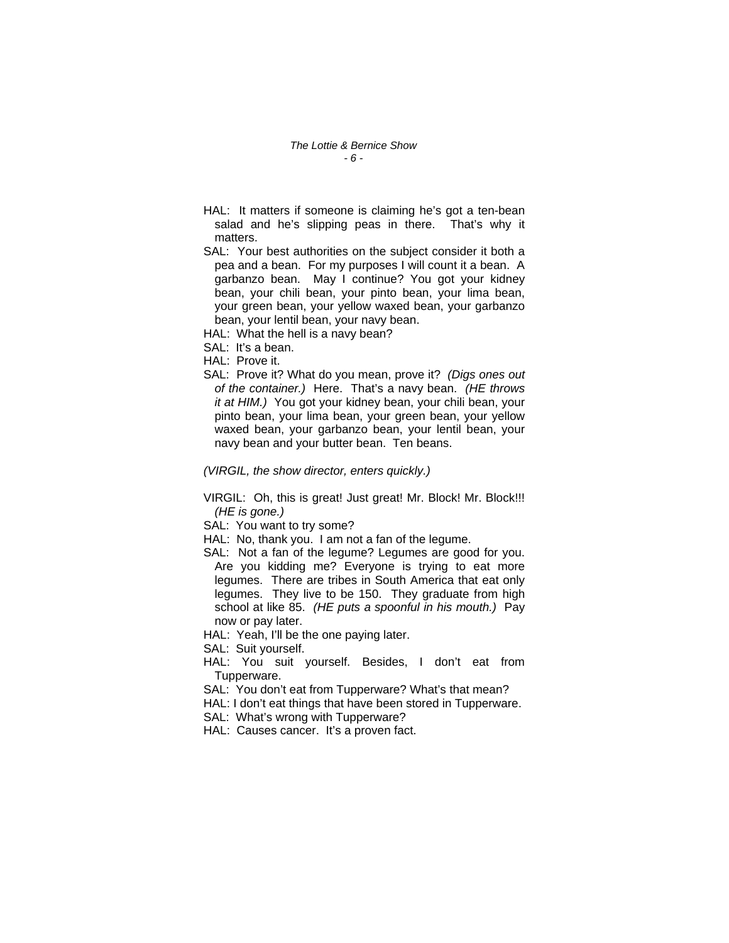- HAL: It matters if someone is claiming he's got a ten-bean salad and he's slipping peas in there. That's why it matters.
- SAL: Your best authorities on the subject consider it both a pea and a bean. For my purposes I will count it a bean. A garbanzo bean. May I continue? You got your kidney bean, your chili bean, your pinto bean, your lima bean, your green bean, your yellow waxed bean, your garbanzo bean, your lentil bean, your navy bean.
- HAL: What the hell is a navy bean?
- SAL: It's a bean.
- HAL: Prove it.
- SAL: Prove it? What do you mean, prove it? *(Digs ones out of the container.)* Here. That's a navy bean. *(HE throws it at HIM.)* You got your kidney bean, your chili bean, your pinto bean, your lima bean, your green bean, your yellow waxed bean, your garbanzo bean, your lentil bean, your navy bean and your butter bean. Ten beans.

*(VIRGIL, the show director, enters quickly.)* 

- VIRGIL: Oh, this is great! Just great! Mr. Block! Mr. Block!!! *(HE is gone.)*
- SAL: You want to try some?
- HAL: No, thank you. I am not a fan of the legume.
- SAL: Not a fan of the legume? Legumes are good for you. Are you kidding me? Everyone is trying to eat more legumes. There are tribes in South America that eat only legumes. They live to be 150. They graduate from high school at like 85. *(HE puts a spoonful in his mouth.)* Pay now or pay later.
- HAL: Yeah, I'll be the one paying later.

SAL: Suit yourself.

- HAL: You suit yourself. Besides, I don't eat from Tupperware.
- SAL: You don't eat from Tupperware? What's that mean?
- HAL: I don't eat things that have been stored in Tupperware.
- SAL: What's wrong with Tupperware?
- HAL: Causes cancer. It's a proven fact.